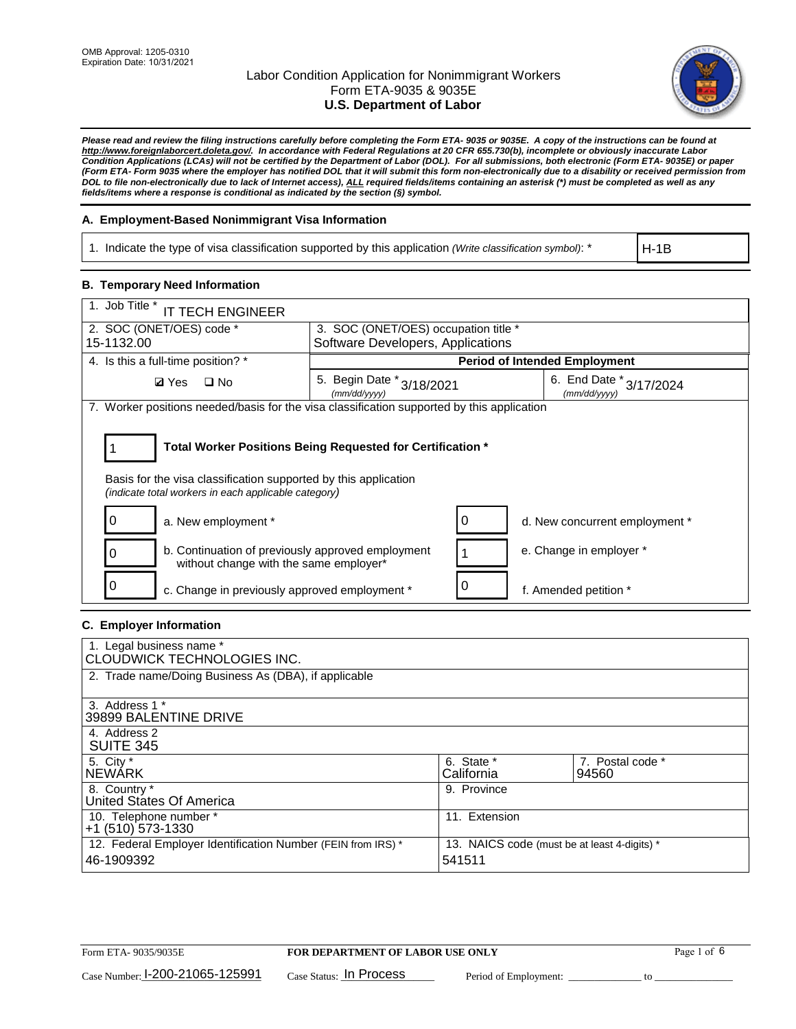

*Please read and review the filing instructions carefully before completing the Form ETA- 9035 or 9035E. A copy of the instructions can be found at [http://www.foreignlaborcert.doleta.gov/.](http://www.foreignlaborcert.doleta.gov/) In accordance with Federal Regulations at 20 CFR 655.730(b), incomplete or obviously inaccurate Labor Condition Applications (LCAs) will not be certified by the Department of Labor (DOL). For all submissions, both electronic (Form ETA- 9035E) or paper (Form ETA- Form 9035 where the employer has notified DOL that it will submit this form non-electronically due to a disability or received permission from DOL to file non-electronically due to lack of Internet access), ALL required fields/items containing an asterisk (\*) must be completed as well as any fields/items where a response is conditional as indicated by the section (§) symbol.* 

## **A. Employment-Based Nonimmigrant Visa Information**

1. Indicate the type of visa classification supported by this application *(Write classification symbol)*: \*

H-1B

## **B. Temporary Need Information**

| 1. Job Title *<br><b>IT TECH ENGINEER</b>                                                                                                                                             |                                           |   |                                         |  |  |  |  |
|---------------------------------------------------------------------------------------------------------------------------------------------------------------------------------------|-------------------------------------------|---|-----------------------------------------|--|--|--|--|
| 2. SOC (ONET/OES) code *<br>3. SOC (ONET/OES) occupation title *                                                                                                                      |                                           |   |                                         |  |  |  |  |
| 15-1132.00                                                                                                                                                                            | Software Developers, Applications         |   |                                         |  |  |  |  |
| 4. Is this a full-time position? *                                                                                                                                                    |                                           |   | <b>Period of Intended Employment</b>    |  |  |  |  |
| $\Box$ No<br><b>Ø</b> Yes                                                                                                                                                             | 5. Begin Date * 3/18/2021<br>(mm/dd/vvvv) |   | 6. End Date * 3/17/2024<br>(mm/dd/vvvv) |  |  |  |  |
| 7. Worker positions needed/basis for the visa classification supported by this application                                                                                            |                                           |   |                                         |  |  |  |  |
| Total Worker Positions Being Requested for Certification *<br>Basis for the visa classification supported by this application<br>(indicate total workers in each applicable category) |                                           |   |                                         |  |  |  |  |
| a. New employment *                                                                                                                                                                   |                                           | 0 | d. New concurrent employment *          |  |  |  |  |
| b. Continuation of previously approved employment<br>without change with the same employer*                                                                                           |                                           |   | e. Change in employer *                 |  |  |  |  |
| c. Change in previously approved employment *                                                                                                                                         |                                           |   | f. Amended petition *                   |  |  |  |  |

## **C. Employer Information**

| 1. Legal business name *<br>CLOUDWICK TECHNOLOGIES INC.                    |                                                        |                           |
|----------------------------------------------------------------------------|--------------------------------------------------------|---------------------------|
| 2. Trade name/Doing Business As (DBA), if applicable                       |                                                        |                           |
| 3. Address 1 *<br>39899 BALENTINE DRIVE                                    |                                                        |                           |
| 4. Address 2<br><b>SUITE 345</b>                                           |                                                        |                           |
| 5. City *<br>INEWÁRK                                                       | 6. State *<br>California                               | 7. Postal code *<br>94560 |
| 8. Country *<br>United States Of America                                   | 9. Province                                            |                           |
| 10. Telephone number *<br>$+1$ (510) 573-1330                              | 11. Extension                                          |                           |
| 12. Federal Employer Identification Number (FEIN from IRS) *<br>46-1909392 | 13. NAICS code (must be at least 4-digits) *<br>541511 |                           |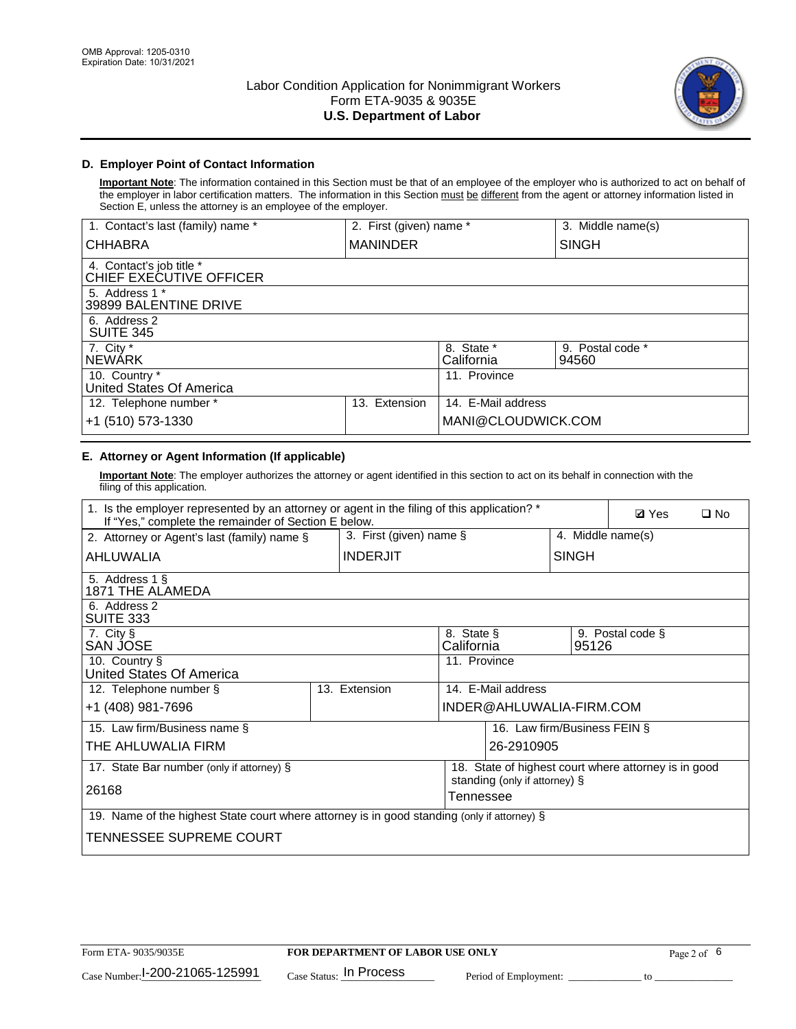

## **D. Employer Point of Contact Information**

**Important Note**: The information contained in this Section must be that of an employee of the employer who is authorized to act on behalf of the employer in labor certification matters. The information in this Section must be different from the agent or attorney information listed in Section E, unless the attorney is an employee of the employer.

| 1. Contact's last (family) name *                   | 2. First (given) name * |                          | 3. Middle name(s)         |
|-----------------------------------------------------|-------------------------|--------------------------|---------------------------|
| <b>CHHABRA</b>                                      | <b>MANINDER</b>         |                          | <b>SINGH</b>              |
| 4. Contact's job title *<br>CHIEF EXECUTIVE OFFICER |                         |                          |                           |
| 5. Address 1 *<br>39899 BALENTINE DRIVE             |                         |                          |                           |
| 6. Address 2<br><b>SUITE 345</b>                    |                         |                          |                           |
| 7. City *<br><b>NEWÁRK</b>                          |                         | 8. State *<br>California | 9. Postal code *<br>94560 |
| 10. Country *<br>United States Of America           |                         | 11. Province             |                           |
| 12. Telephone number *                              | Extension<br>13.        | 14. E-Mail address       |                           |
| +1 (510) 573-1330                                   |                         | MANI@CLOUDWICK.COM       |                           |

# **E. Attorney or Agent Information (If applicable)**

**Important Note**: The employer authorizes the attorney or agent identified in this section to act on its behalf in connection with the filing of this application.

| 1. Is the employer represented by an attorney or agent in the filing of this application? *<br>If "Yes," complete the remainder of Section E below. |                            |                          |                          |                               | <b>Ø</b> Yes<br>$\square$ No |                                                      |  |
|-----------------------------------------------------------------------------------------------------------------------------------------------------|----------------------------|--------------------------|--------------------------|-------------------------------|------------------------------|------------------------------------------------------|--|
| 2. Attorney or Agent's last (family) name §                                                                                                         | 3. First (given) name $\S$ |                          |                          | 4. Middle name(s)             |                              |                                                      |  |
| AHLUWALIA                                                                                                                                           |                            | <b>INDERJIT</b>          |                          |                               | <b>SINGH</b>                 |                                                      |  |
| 5. Address 1 §<br>1871 THE ALAMEDA                                                                                                                  |                            |                          |                          |                               |                              |                                                      |  |
| 6. Address 2<br>SUITE 333                                                                                                                           |                            |                          |                          |                               |                              |                                                      |  |
| 7. City §<br>SAN JOSE                                                                                                                               |                            |                          | 8. State §<br>California |                               | 95126                        | 9. Postal code §                                     |  |
| 10. Country §<br>United States Of America                                                                                                           |                            |                          | 11. Province             |                               |                              |                                                      |  |
| 12. Telephone number §                                                                                                                              |                            | 13. Extension            | 14. E-Mail address       |                               |                              |                                                      |  |
| +1 (408) 981-7696                                                                                                                                   |                            | INDER@AHLUWALIA-FIRM.COM |                          |                               |                              |                                                      |  |
| 15. Law firm/Business name §                                                                                                                        |                            |                          |                          |                               | 16. Law firm/Business FEIN § |                                                      |  |
| THE AHLUWALIA FIRM                                                                                                                                  |                            |                          |                          | 26-2910905                    |                              |                                                      |  |
| 17. State Bar number (only if attorney) §                                                                                                           |                            |                          |                          | standing (only if attorney) § |                              | 18. State of highest court where attorney is in good |  |
| 26168                                                                                                                                               |                            |                          | Tennessee                |                               |                              |                                                      |  |
| 19. Name of the highest State court where attorney is in good standing (only if attorney) §                                                         |                            |                          |                          |                               |                              |                                                      |  |
| TENNESSEE SUPREME COURT                                                                                                                             |                            |                          |                          |                               |                              |                                                      |  |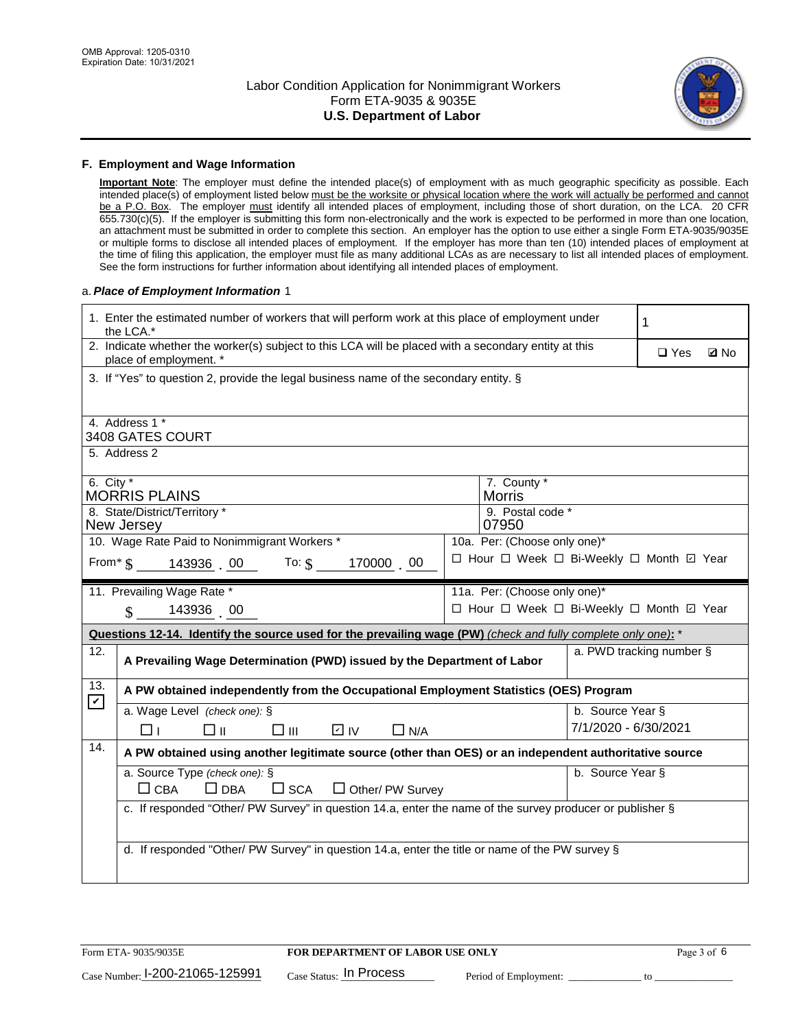

#### **F. Employment and Wage Information**

**Important Note**: The employer must define the intended place(s) of employment with as much geographic specificity as possible. Each intended place(s) of employment listed below must be the worksite or physical location where the work will actually be performed and cannot be a P.O. Box. The employer must identify all intended places of employment, including those of short duration, on the LCA. 20 CFR 655.730(c)(5). If the employer is submitting this form non-electronically and the work is expected to be performed in more than one location, an attachment must be submitted in order to complete this section. An employer has the option to use either a single Form ETA-9035/9035E or multiple forms to disclose all intended places of employment. If the employer has more than ten (10) intended places of employment at the time of filing this application, the employer must file as many additional LCAs as are necessary to list all intended places of employment. See the form instructions for further information about identifying all intended places of employment.

## a.*Place of Employment Information* 1

|                            | 1. Enter the estimated number of workers that will perform work at this place of employment under<br>the LCA.*                 |  | 1                            |                      |                                          |  |  |  |  |
|----------------------------|--------------------------------------------------------------------------------------------------------------------------------|--|------------------------------|----------------------|------------------------------------------|--|--|--|--|
|                            | 2. Indicate whether the worker(s) subject to this LCA will be placed with a secondary entity at this<br>place of employment. * |  |                              |                      |                                          |  |  |  |  |
|                            | 3. If "Yes" to question 2, provide the legal business name of the secondary entity. §                                          |  |                              |                      |                                          |  |  |  |  |
|                            |                                                                                                                                |  |                              |                      |                                          |  |  |  |  |
|                            | 4. Address 1 *<br>3408 GATES COURT                                                                                             |  |                              |                      |                                          |  |  |  |  |
|                            | 5. Address 2                                                                                                                   |  |                              |                      |                                          |  |  |  |  |
| 6. City $*$                | <b>MORRIS PLAINS</b>                                                                                                           |  | 7. County *<br><b>Morris</b> |                      |                                          |  |  |  |  |
|                            | 8. State/District/Territory *                                                                                                  |  | 9. Postal code *             |                      |                                          |  |  |  |  |
|                            | New Jersey                                                                                                                     |  | 07950                        |                      |                                          |  |  |  |  |
|                            | 10. Wage Rate Paid to Nonimmigrant Workers *                                                                                   |  | 10a. Per: (Choose only one)* |                      |                                          |  |  |  |  |
|                            | □ Hour □ Week □ Bi-Weekly □ Month ☑ Year<br>From* \$143936 00 To: \$<br>170000 00                                              |  |                              |                      |                                          |  |  |  |  |
|                            | 11. Prevailing Wage Rate *<br>11a. Per: (Choose only one)*                                                                     |  |                              |                      |                                          |  |  |  |  |
|                            | 143936 00<br>$\mathbb{S}$                                                                                                      |  |                              |                      | □ Hour □ Week □ Bi-Weekly □ Month 回 Year |  |  |  |  |
|                            | Questions 12-14. Identify the source used for the prevailing wage (PW) (check and fully complete only one): *                  |  |                              |                      |                                          |  |  |  |  |
| 12.                        | a. PWD tracking number §<br>A Prevailing Wage Determination (PWD) issued by the Department of Labor                            |  |                              |                      |                                          |  |  |  |  |
|                            | A PW obtained independently from the Occupational Employment Statistics (OES) Program                                          |  |                              |                      |                                          |  |  |  |  |
| 13.                        |                                                                                                                                |  |                              |                      |                                          |  |  |  |  |
| $\boldsymbol{\mathcal{V}}$ | a. Wage Level (check one): §                                                                                                   |  |                              | b. Source Year §     |                                          |  |  |  |  |
|                            | □⊪<br>$\square$ $\square$<br>D IV<br>$\Box$ N/A<br>⊓⊥                                                                          |  |                              | 7/1/2020 - 6/30/2021 |                                          |  |  |  |  |
| 14.                        | A PW obtained using another legitimate source (other than OES) or an independent authoritative source                          |  |                              |                      |                                          |  |  |  |  |
|                            | a. Source Type (check one): §                                                                                                  |  |                              | b. Source Year §     |                                          |  |  |  |  |
|                            | $\Box$ CBA<br>$\Box$ DBA<br>$\square$ SCA<br>$\Box$ Other/ PW Survey                                                           |  |                              |                      |                                          |  |  |  |  |
|                            | c. If responded "Other/ PW Survey" in question 14.a, enter the name of the survey producer or publisher §                      |  |                              |                      |                                          |  |  |  |  |
|                            |                                                                                                                                |  |                              |                      |                                          |  |  |  |  |
|                            | d. If responded "Other/ PW Survey" in question 14.a, enter the title or name of the PW survey §                                |  |                              |                      |                                          |  |  |  |  |
|                            |                                                                                                                                |  |                              |                      |                                          |  |  |  |  |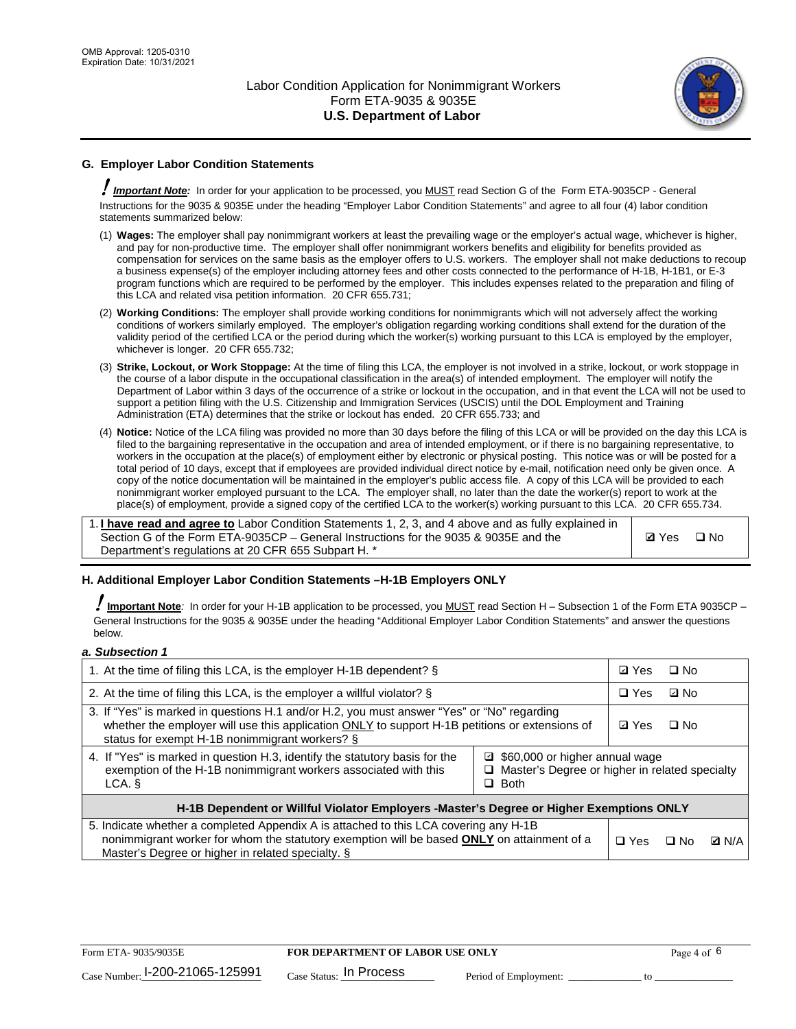

## **G. Employer Labor Condition Statements**

! *Important Note:* In order for your application to be processed, you MUST read Section G of the Form ETA-9035CP - General Instructions for the 9035 & 9035E under the heading "Employer Labor Condition Statements" and agree to all four (4) labor condition statements summarized below:

- (1) **Wages:** The employer shall pay nonimmigrant workers at least the prevailing wage or the employer's actual wage, whichever is higher, and pay for non-productive time. The employer shall offer nonimmigrant workers benefits and eligibility for benefits provided as compensation for services on the same basis as the employer offers to U.S. workers. The employer shall not make deductions to recoup a business expense(s) of the employer including attorney fees and other costs connected to the performance of H-1B, H-1B1, or E-3 program functions which are required to be performed by the employer. This includes expenses related to the preparation and filing of this LCA and related visa petition information. 20 CFR 655.731;
- (2) **Working Conditions:** The employer shall provide working conditions for nonimmigrants which will not adversely affect the working conditions of workers similarly employed. The employer's obligation regarding working conditions shall extend for the duration of the validity period of the certified LCA or the period during which the worker(s) working pursuant to this LCA is employed by the employer, whichever is longer. 20 CFR 655.732;
- (3) **Strike, Lockout, or Work Stoppage:** At the time of filing this LCA, the employer is not involved in a strike, lockout, or work stoppage in the course of a labor dispute in the occupational classification in the area(s) of intended employment. The employer will notify the Department of Labor within 3 days of the occurrence of a strike or lockout in the occupation, and in that event the LCA will not be used to support a petition filing with the U.S. Citizenship and Immigration Services (USCIS) until the DOL Employment and Training Administration (ETA) determines that the strike or lockout has ended. 20 CFR 655.733; and
- (4) **Notice:** Notice of the LCA filing was provided no more than 30 days before the filing of this LCA or will be provided on the day this LCA is filed to the bargaining representative in the occupation and area of intended employment, or if there is no bargaining representative, to workers in the occupation at the place(s) of employment either by electronic or physical posting. This notice was or will be posted for a total period of 10 days, except that if employees are provided individual direct notice by e-mail, notification need only be given once. A copy of the notice documentation will be maintained in the employer's public access file. A copy of this LCA will be provided to each nonimmigrant worker employed pursuant to the LCA. The employer shall, no later than the date the worker(s) report to work at the place(s) of employment, provide a signed copy of the certified LCA to the worker(s) working pursuant to this LCA. 20 CFR 655.734.

1. **I have read and agree to** Labor Condition Statements 1, 2, 3, and 4 above and as fully explained in Section G of the Form ETA-9035CP – General Instructions for the 9035 & 9035E and the Department's regulations at 20 CFR 655 Subpart H. \*

**Ø**Yes ロNo

## **H. Additional Employer Labor Condition Statements –H-1B Employers ONLY**

!**Important Note***:* In order for your H-1B application to be processed, you MUST read Section H – Subsection 1 of the Form ETA 9035CP – General Instructions for the 9035 & 9035E under the heading "Additional Employer Labor Condition Statements" and answer the questions below.

#### *a. Subsection 1*

| 1. At the time of filing this LCA, is the employer H-1B dependent? §                                                                                                                                                                           | ⊡ Yes                                                                                | $\square$ No |              |  |  |  |
|------------------------------------------------------------------------------------------------------------------------------------------------------------------------------------------------------------------------------------------------|--------------------------------------------------------------------------------------|--------------|--------------|--|--|--|
| 2. At the time of filing this LCA, is the employer a willful violator? $\S$                                                                                                                                                                    | $\Box$ Yes                                                                           | ⊡ No         |              |  |  |  |
| 3. If "Yes" is marked in questions H.1 and/or H.2, you must answer "Yes" or "No" regarding<br>whether the employer will use this application ONLY to support H-1B petitions or extensions of<br>status for exempt H-1B nonimmigrant workers? § | <b>☑</b> Yes                                                                         | $\Box$ No    |              |  |  |  |
| 4. If "Yes" is marked in question H.3, identify the statutory basis for the<br>exemption of the H-1B nonimmigrant workers associated with this<br>LCA. §                                                                                       | ■ \$60,000 or higher annual wage<br>□ Master's Degree or higher in related specialty |              |              |  |  |  |
| H-1B Dependent or Willful Violator Employers -Master's Degree or Higher Exemptions ONLY                                                                                                                                                        |                                                                                      |              |              |  |  |  |
| 5. Indicate whether a completed Appendix A is attached to this LCA covering any H-1B<br>nonimmigrant worker for whom the statutory exemption will be based <b>ONLY</b> on attainment of a<br>Master's Degree or higher in related specialty. § | $\Box$ Yes                                                                           | ⊡ No         | <b>Q</b> N/A |  |  |  |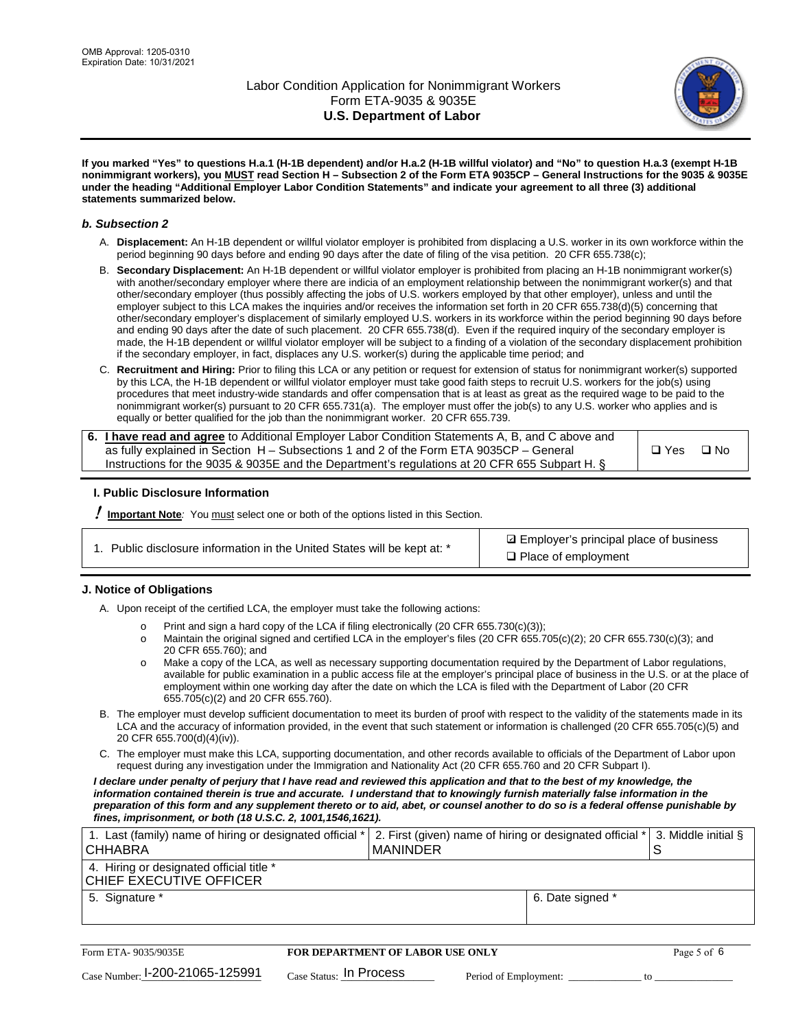

**If you marked "Yes" to questions H.a.1 (H-1B dependent) and/or H.a.2 (H-1B willful violator) and "No" to question H.a.3 (exempt H-1B nonimmigrant workers), you MUST read Section H – Subsection 2 of the Form ETA 9035CP – General Instructions for the 9035 & 9035E under the heading "Additional Employer Labor Condition Statements" and indicate your agreement to all three (3) additional statements summarized below.**

#### *b. Subsection 2*

- A. **Displacement:** An H-1B dependent or willful violator employer is prohibited from displacing a U.S. worker in its own workforce within the period beginning 90 days before and ending 90 days after the date of filing of the visa petition. 20 CFR 655.738(c);
- B. **Secondary Displacement:** An H-1B dependent or willful violator employer is prohibited from placing an H-1B nonimmigrant worker(s) with another/secondary employer where there are indicia of an employment relationship between the nonimmigrant worker(s) and that other/secondary employer (thus possibly affecting the jobs of U.S. workers employed by that other employer), unless and until the employer subject to this LCA makes the inquiries and/or receives the information set forth in 20 CFR 655.738(d)(5) concerning that other/secondary employer's displacement of similarly employed U.S. workers in its workforce within the period beginning 90 days before and ending 90 days after the date of such placement. 20 CFR 655.738(d). Even if the required inquiry of the secondary employer is made, the H-1B dependent or willful violator employer will be subject to a finding of a violation of the secondary displacement prohibition if the secondary employer, in fact, displaces any U.S. worker(s) during the applicable time period; and
- C. **Recruitment and Hiring:** Prior to filing this LCA or any petition or request for extension of status for nonimmigrant worker(s) supported by this LCA, the H-1B dependent or willful violator employer must take good faith steps to recruit U.S. workers for the job(s) using procedures that meet industry-wide standards and offer compensation that is at least as great as the required wage to be paid to the nonimmigrant worker(s) pursuant to 20 CFR 655.731(a). The employer must offer the job(s) to any U.S. worker who applies and is equally or better qualified for the job than the nonimmigrant worker. 20 CFR 655.739.

| 6. I have read and agree to Additional Employer Labor Condition Statements A, B, and C above and |       |           |
|--------------------------------------------------------------------------------------------------|-------|-----------|
| as fully explained in Section H – Subsections 1 and 2 of the Form ETA 9035CP – General           | □ Yes | $\Box$ No |
| Instructions for the 9035 & 9035E and the Department's regulations at 20 CFR 655 Subpart H. §    |       |           |

## **I. Public Disclosure Information**

! **Important Note***:* You must select one or both of the options listed in this Section.

| 1. Public disclosure information in the United States will be kept at: * |
|--------------------------------------------------------------------------|
|--------------------------------------------------------------------------|

**sqrt** Employer's principal place of business □ Place of employment

## **J. Notice of Obligations**

A. Upon receipt of the certified LCA, the employer must take the following actions:

- o Print and sign a hard copy of the LCA if filing electronically (20 CFR 655.730(c)(3));<br>
Maintain the original signed and certified LCA in the employer's files (20 CFR 655.7
- Maintain the original signed and certified LCA in the employer's files (20 CFR 655.705(c)(2); 20 CFR 655.730(c)(3); and 20 CFR 655.760); and
- o Make a copy of the LCA, as well as necessary supporting documentation required by the Department of Labor regulations, available for public examination in a public access file at the employer's principal place of business in the U.S. or at the place of employment within one working day after the date on which the LCA is filed with the Department of Labor (20 CFR 655.705(c)(2) and 20 CFR 655.760).
- B. The employer must develop sufficient documentation to meet its burden of proof with respect to the validity of the statements made in its LCA and the accuracy of information provided, in the event that such statement or information is challenged (20 CFR 655.705(c)(5) and 20 CFR 655.700(d)(4)(iv)).
- C. The employer must make this LCA, supporting documentation, and other records available to officials of the Department of Labor upon request during any investigation under the Immigration and Nationality Act (20 CFR 655.760 and 20 CFR Subpart I).

*I declare under penalty of perjury that I have read and reviewed this application and that to the best of my knowledge, the*  information contained therein is true and accurate. I understand that to knowingly furnish materially false information in the *preparation of this form and any supplement thereto or to aid, abet, or counsel another to do so is a federal offense punishable by fines, imprisonment, or both (18 U.S.C. 2, 1001,1546,1621).*

| 1. Last (family) name of hiring or designated official *<br><b>CHHABRA</b> |                         | <b>MANINDER</b>                         |                       | 2. First (given) name of hiring or designated official * | S  | 3. Middle initial § |
|----------------------------------------------------------------------------|-------------------------|-----------------------------------------|-----------------------|----------------------------------------------------------|----|---------------------|
| 4. Hiring or designated official title *<br>CHIEF EXECUTIVE OFFICER        |                         |                                         |                       |                                                          |    |                     |
| 5. Signature *                                                             |                         |                                         |                       | 6. Date signed *                                         |    |                     |
|                                                                            |                         |                                         |                       |                                                          |    |                     |
| Form ETA-9035/9035E                                                        |                         | <b>FOR DEPARTMENT OF LABOR USE ONLY</b> |                       |                                                          |    | Page 5 of 6         |
| $_{\text{Case Number:}}$ 1-200-21065-125991                                | Case Status: In Process |                                         | Period of Employment: |                                                          | tΩ |                     |